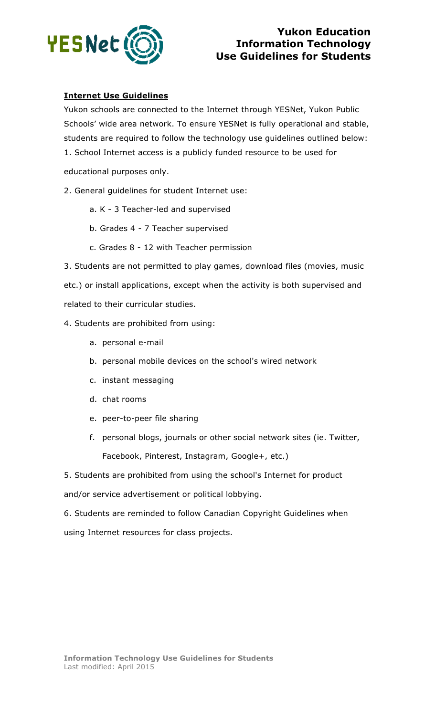

## **Yukon Education Information Technology Use Guidelines for Students**

## **Internet Use Guidelines**

Yukon schools are connected to the Internet through YESNet, Yukon Public Schools' wide area network. To ensure YESNet is fully operational and stable, students are required to follow the technology use guidelines outlined below: 1. School Internet access is a publicly funded resource to be used for

educational purposes only.

2. General guidelines for student Internet use:

- a. K 3 Teacher-led and supervised
- b. Grades 4 7 Teacher supervised
- c. Grades 8 12 with Teacher permission

3. Students are not permitted to play games, download files (movies, music etc.) or install applications, except when the activity is both supervised and related to their curricular studies.

4. Students are prohibited from using:

- a. personal e-mail
- b. personal mobile devices on the school's wired network
- c. instant messaging
- d. chat rooms
- e. peer-to-peer file sharing
- f. personal blogs, journals or other social network sites (ie. Twitter, Facebook, Pinterest, Instagram, Google+, etc.)

5. Students are prohibited from using the school's Internet for product and/or service advertisement or political lobbying.

6. Students are reminded to follow Canadian Copyright Guidelines when using Internet resources for class projects.